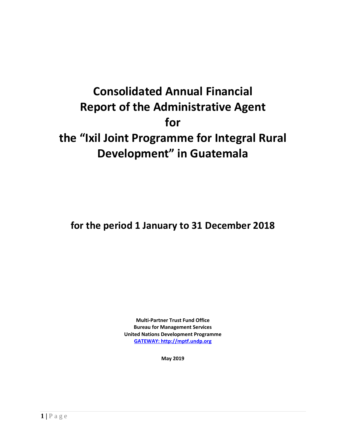# **Consolidated Annual Financial Report of the Administrative Agent for the "Ixil Joint Programme for Integral Rural Development" in Guatemala**

**for the period 1 January to 31 December 2018**

**Multi-Partner Trust Fund Office Bureau for Management Services United Nations Development Programme [GATEWAY: http://mptf.undp.org](http://mptf.undp.org/)**

**May 2019**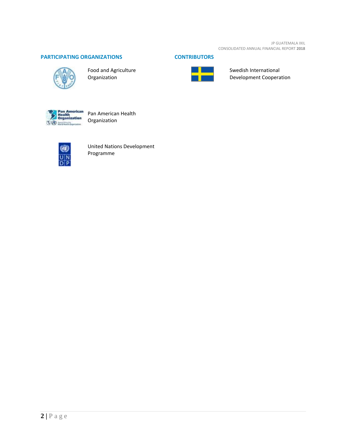JP GUATEMALA IXIL CONSOLIDATED ANNUAL FINANCIAL REPORT **2018**

# **PARTICIPATING ORGANIZATIONS CONTRIBUTORS**



Food and Agriculture Organization





Swedish International Development Cooperation



Organization



United Nations Development Programme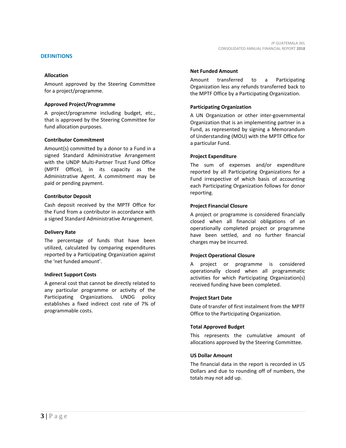# **DEFINITIONS**

## **Allocation**

Amount approved by the Steering Committee for a project/programme.

#### **Approved Project/Programme**

A project/programme including budget, etc., that is approved by the Steering Committee for fund allocation purposes.

# **Contributor Commitment**

Amount(s) committed by a donor to a Fund in a signed Standard Administrative Arrangement with the UNDP Multi-Partner Trust Fund Office (MPTF Office), in its capacity as the Administrative Agent. A commitment may be paid or pending payment.

#### **Contributor Deposit**

Cash deposit received by the MPTF Office for the Fund from a contributor in accordance with a signed Standard Administrative Arrangement.

#### **Delivery Rate**

The percentage of funds that have been utilized, calculated by comparing expenditures reported by a Participating Organization against the 'net funded amount'.

#### **Indirect Support Costs**

A general cost that cannot be directly related to any particular programme or activity of the Participating Organizations. UNDG policy establishes a fixed indirect cost rate of 7% of programmable costs.

#### **Net Funded Amount**

Amount transferred to a Participating Organization less any refunds transferred back to the MPTF Office by a Participating Organization.

# **Participating Organization**

A UN Organization or other inter-governmental Organization that is an implementing partner in a Fund, as represented by signing a Memorandum of Understanding (MOU) with the MPTF Office for a particular Fund.

# **Project Expenditure**

The sum of expenses and/or expenditure reported by all Participating Organizations for a Fund irrespective of which basis of accounting each Participating Organization follows for donor reporting.

# **Project Financial Closure**

A project or programme is considered financially closed when all financial obligations of an operationally completed project or programme have been settled, and no further financial charges may be incurred.

# **Project Operational Closure**

A project or programme is considered operationally closed when all programmatic activities for which Participating Organization(s) received funding have been completed.

#### **Project Start Date**

Date of transfer of first instalment from the MPTF Office to the Participating Organization.

# **Total Approved Budget**

This represents the cumulative amount of allocations approved by the Steering Committee.

#### **US Dollar Amount**

The financial data in the report is recorded in US Dollars and due to rounding off of numbers, the totals may not add up.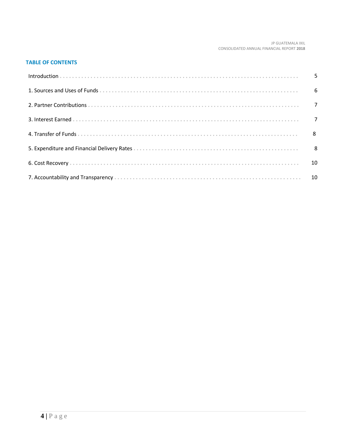#### JP GUATEMALA IXIL CONSOLIDATED ANNUAL FINANCIAL REPORT **2018**

# **TABLE OF CONTENTS**

| $\overline{10}$ |
|-----------------|
|                 |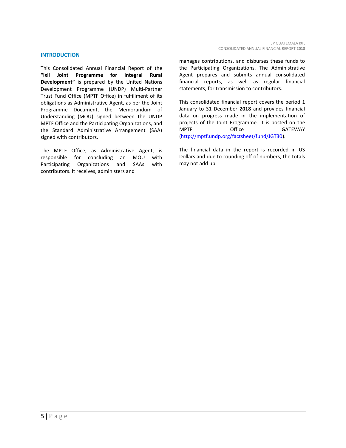## **INTRODUCTION**

This Consolidated Annual Financial Report of the **"Ixil Joint Programme for Integral Rural Development"** is prepared by the United Nations Development Programme (UNDP) Multi-Partner Trust Fund Office (MPTF Office) in fulfillment of its obligations as Administrative Agent, as per the Joint Programme Document, the Memorandum of Understanding (MOU) signed between the UNDP MPTF Office and the Participating Organizations, and the Standard Administrative Arrangement (SAA) signed with contributors.

The MPTF Office, as Administrative Agent, is responsible for concluding an MOU with Participating Organizations and SAAs with contributors. It receives, administers and

manages contributions, and disburses these funds to the Participating Organizations. The Administrative Agent prepares and submits annual consolidated financial reports, as well as regular financial statements, for transmission to contributors.

This consolidated financial report covers the period 1 January to 31 December **2018** and provides financial data on progress made in the implementation of projects of the Joint Programme. It is posted on the MPTF Office GATEWAY [\(http://mptf.undp.org/factsheet/fund/JGT30\)](http://mptf.undp.org/factsheet/fund/JGT30).

The financial data in the report is recorded in US Dollars and due to rounding off of numbers, the totals may not add up.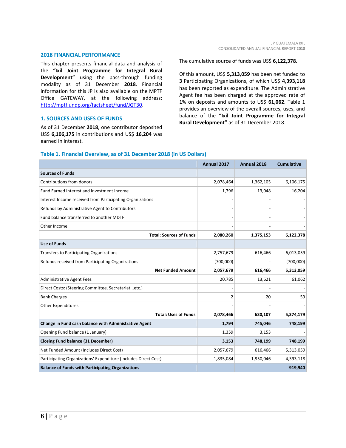#### **2018 FINANCIAL PERFORMANCE**

This chapter presents financial data and analysis of the **"Ixil Joint Programme for Integral Rural Development"** using the pass-through funding modality as of 31 December **2018**. Financial information for this JP is also available on the MPTF Office GATEWAY, at the following address: [http://mptf.undp.org/factsheet/fund/JGT30.](http://mptf.undp.org/factsheet/fund/JGT30)

# **1. SOURCES AND USES OF FUNDS**

As of 31 December **2018**, one contributor deposited US\$ **6,106,175** in contributions and US\$ **16,204** was earned in interest.

#### The cumulative source of funds was US\$ **6,122,378.**

Of this amount, US\$ **5,313,059** has been net funded to **3** Participating Organizations, of which US\$ **4,393,118** has been reported as expenditure. The Administrative Agent fee has been charged at the approved rate of 1% on deposits and amounts to US\$ **61,062**. Table 1 provides an overview of the overall sources, uses, and balance of the **"Ixil Joint Programme for Integral Rural Development"** as of 31 December 2018.

# **Table 1. Financial Overview, as of 31 December 2018 (in US Dollars)**

|                                                                 | Annual 2017 | Annual 2018 | <b>Cumulative</b> |
|-----------------------------------------------------------------|-------------|-------------|-------------------|
| <b>Sources of Funds</b>                                         |             |             |                   |
| Contributions from donors                                       | 2,078,464   | 1,362,105   | 6,106,175         |
| Fund Earned Interest and Investment Income                      | 1,796       | 13,048      | 16,204            |
| Interest Income received from Participating Organizations       |             |             |                   |
| Refunds by Administrative Agent to Contributors                 |             |             |                   |
| Fund balance transferred to another MDTF                        |             |             |                   |
| Other Income                                                    |             |             |                   |
| <b>Total: Sources of Funds</b>                                  | 2,080,260   | 1,375,153   | 6,122,378         |
| <b>Use of Funds</b>                                             |             |             |                   |
| Transfers to Participating Organizations                        | 2,757,679   | 616,466     | 6,013,059         |
| Refunds received from Participating Organizations               | (700,000)   |             | (700,000)         |
| <b>Net Funded Amount</b>                                        | 2,057,679   | 616,466     | 5,313,059         |
| <b>Administrative Agent Fees</b>                                | 20,785      | 13,621      | 61,062            |
| Direct Costs: (Steering Committee, Secretariatetc.)             |             |             |                   |
| <b>Bank Charges</b>                                             | 2           | 20          | 59                |
| <b>Other Expenditures</b>                                       |             |             |                   |
| <b>Total: Uses of Funds</b>                                     | 2,078,466   | 630,107     | 5,374,179         |
| Change in Fund cash balance with Administrative Agent           | 1,794       | 745,046     | 748,199           |
| Opening Fund balance (1 January)                                | 1,359       | 3,153       |                   |
| <b>Closing Fund balance (31 December)</b>                       | 3,153       | 748,199     | 748,199           |
| Net Funded Amount (Includes Direct Cost)                        | 2,057,679   | 616,466     | 5,313,059         |
| Participating Organizations' Expenditure (Includes Direct Cost) | 1,835,084   | 1,950,046   | 4,393,118         |
| <b>Balance of Funds with Participating Organizations</b>        |             |             | 919,940           |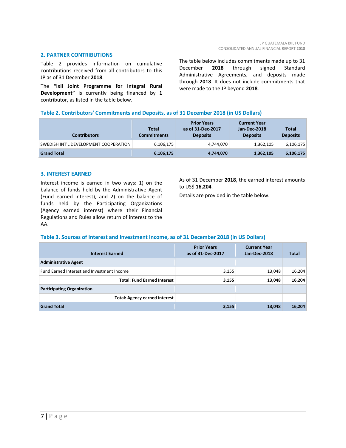#### **2. PARTNER CONTRIBUTIONS**

Table 2 provides information on cumulative contributions received from all contributors to this JP as of 31 December **2018**.

The **"Ixil Joint Programme for Integral Rural Development"** is currently being financed by **1** contributor, as listed in the table below.

The table below includes commitments made up to 31 December **2018** through signed Standard Administrative Agreements, and deposits made through **2018**. It does not include commitments that were made to the JP beyond **2018**.

# **Table 2. Contributors' Commitments and Deposits, as of 31 December 2018 (in US Dollars)**

| <b>Contributors</b>                   | <b>Total</b><br><b>Commitments</b> | <b>Prior Years</b><br>as of 31-Dec-2017<br><b>Deposits</b> | <b>Current Year</b><br>Jan-Dec-2018<br><b>Deposits</b> | Total<br><b>Deposits</b> |
|---------------------------------------|------------------------------------|------------------------------------------------------------|--------------------------------------------------------|--------------------------|
| SWEDISH INT'L DEVELOPMENT COOPERATION | 6,106,175                          | 4,744,070                                                  | 1,362,105                                              | 6,106,175                |
| <b>Grand Total</b>                    | 6,106,175                          | 4,744,070                                                  | 1,362,105                                              | 6,106,175                |

#### **3. INTEREST EARNED**

Interest income is earned in two ways: 1) on the balance of funds held by the Administrative Agent (Fund earned interest), and 2) on the balance of funds held by the Participating Organizations (Agency earned interest) where their Financial Regulations and Rules allow return of interest to the AA.

As of 31 December **2018**, the earned interest amounts to US\$ **16,204**.

Details are provided in the table below.

# **Table 3. Sources of Interest and Investment Income, as of 31 December 2018 (in US Dollars)**

| <b>Interest Earned</b>                     | <b>Prior Years</b><br>as of 31-Dec-2017 | <b>Current Year</b><br>Jan-Dec-2018 | <b>Total</b> |
|--------------------------------------------|-----------------------------------------|-------------------------------------|--------------|
| <b>Administrative Agent</b>                |                                         |                                     |              |
| Fund Earned Interest and Investment Income | 3,155                                   | 13,048                              | 16,204       |
| <b>Total: Fund Earned Interest</b>         | 3,155                                   | 13,048                              | 16,204       |
| <b>Participating Organization</b>          |                                         |                                     |              |
| <b>Total: Agency earned interest</b>       |                                         |                                     |              |
| <b>Grand Total</b>                         | 3,155                                   | 13,048                              | 16,204       |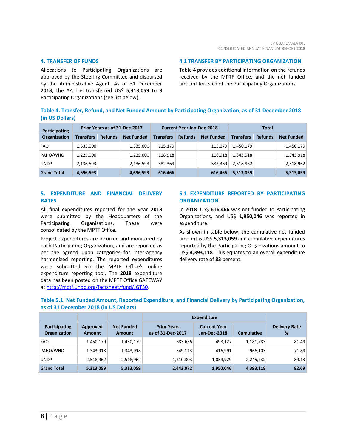#### **4. TRANSFER OF FUNDS**

Allocations to Participating Organizations are approved by the Steering Committee and disbursed by the Administrative Agent. As of 31 December **2018**, the AA has transferred US\$ **5,313,059** to **3** Participating Organizations (see list below).

**4.1 TRANSFER BY PARTICIPATING ORGANIZATION**

Table 4 provides additional information on the refunds received by the MPTF Office, and the net funded amount for each of the Participating Organizations.

# **Table 4. Transfer, Refund, and Net Funded Amount by Participating Organization, as of 31 December 2018 (in US Dollars)**

| Participating<br>Organization | Prior Years as of 31-Dec-2017 |                |                   | <b>Current Year Jan-Dec-2018</b> |                |                   | Total            |                |                   |
|-------------------------------|-------------------------------|----------------|-------------------|----------------------------------|----------------|-------------------|------------------|----------------|-------------------|
|                               | Transfers                     | <b>Refunds</b> | <b>Net Funded</b> | <b>Transfers</b>                 | <b>Refunds</b> | <b>Net Funded</b> | <b>Transfers</b> | <b>Refunds</b> | <b>Net Funded</b> |
| <b>FAO</b>                    | 1,335,000                     |                | 1,335,000         | 115,179                          |                | 115,179           | 1,450,179        |                | 1,450,179         |
| PAHO/WHO                      | 1,225,000                     |                | 1,225,000         | 118,918                          |                | 118,918           | 1,343,918        |                | 1,343,918         |
| <b>UNDP</b>                   | 2,136,593                     |                | 2,136,593         | 382,369                          |                | 382,369           | 2,518,962        |                | 2,518,962         |
| <b>Grand Total</b>            | 4,696,593                     |                | 4,696,593         | 616,466                          |                | 616,466           | 5,313,059        |                | 5,313,059         |

# **5. EXPENDITURE AND FINANCIAL DELIVERY RATES**

All final expenditures reported for the year **2018** were submitted by the Headquarters of the Participating Organizations. These were consolidated by the MPTF Office.

Project expenditures are incurred and monitored by each Participating Organization, and are reported as per the agreed upon categories for inter-agency harmonized reporting. The reported expenditures were submitted via the MPTF Office's online expenditure reporting tool. The **2018** expenditure data has been posted on the MPTF Office GATEWAY a[t http://mptf.undp.org/factsheet/fund/JGT30.](http://mptf.undp.org/factsheet/fund/JGT30)

# **5.1 EXPENDITURE REPORTED BY PARTICIPATING ORGANIZATION**

In **2018**, US\$ **616,466** was net funded to Participating Organizations, and US\$ **1,950,046** was reported in expenditure.

As shown in table below, the cumulative net funded amount is US\$ **5,313,059** and cumulative expenditures reported by the Participating Organizations amount to US\$ **4,393,118**. This equates to an overall expenditure delivery rate of **83** percent.

# **Table 5.1. Net Funded Amount, Reported Expenditure, and Financial Delivery by Participating Organization, as of 31 December 2018 (in US Dollars)**

|                                      |                           |                                    | <b>Expenditure</b>                      |                                     |                   |                           |
|--------------------------------------|---------------------------|------------------------------------|-----------------------------------------|-------------------------------------|-------------------|---------------------------|
| Participating<br><b>Organization</b> | Approved<br><b>Amount</b> | <b>Net Funded</b><br><b>Amount</b> | <b>Prior Years</b><br>as of 31-Dec-2017 | <b>Current Year</b><br>Jan-Dec-2018 | <b>Cumulative</b> | <b>Delivery Rate</b><br>% |
| <b>FAO</b>                           | 1,450,179                 | 1,450,179                          | 683,656                                 | 498,127                             | 1,181,783         | 81.49                     |
| PAHO/WHO                             | 1,343,918                 | 1,343,918                          | 549,113                                 | 416,991                             | 966.103           | 71.89                     |
| <b>UNDP</b>                          | 2,518,962                 | 2,518,962                          | 1,210,303                               | 1,034,929                           | 2,245,232         | 89.13                     |
| <b>Grand Total</b>                   | 5,313,059                 | 5,313,059                          | 2,443,072                               | 1,950,046                           | 4,393,118         | 82.69                     |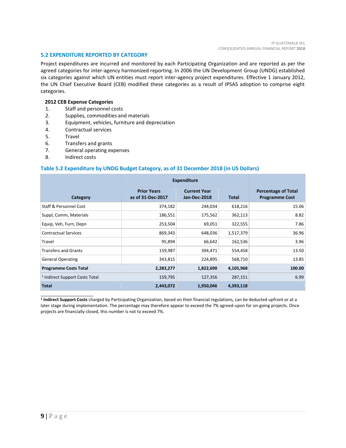## **5.2 EXPENDITURE REPORTED BY CATEGORY**

Project expenditures are incurred and monitored by each Participating Organization and are reported as per the agreed categories for inter-agency harmonized reporting. In 2006 the UN Development Group (UNDG) established six categories against which UN entities must report inter-agency project expenditures. Effective 1 January 2012, the UN Chief Executive Board (CEB) modified these categories as a result of IPSAS adoption to comprise eight categories.

# **2012 CEB Expense Categories**

- 1. Staff and personnel costs
- 2. Supplies, commodities and materials
- 3. Equipment, vehicles, furniture and depreciation
- 4. Contractual services
- 5. Travel
- 6. Transfers and grants
- 7. General operating expenses
- 8. Indirect costs

\_\_\_\_\_\_\_\_\_\_\_\_\_\_\_\_\_\_\_\_\_\_

# **Table 5.2 Expenditure by UNDG Budget Category, as of 31 December 2018 (in US Dollars)**

|                                           | <b>Expenditure</b>                      |                                     |              |                                                     |
|-------------------------------------------|-----------------------------------------|-------------------------------------|--------------|-----------------------------------------------------|
| Category                                  | <b>Prior Years</b><br>as of 31-Dec-2017 | <b>Current Year</b><br>Jan-Dec-2018 | <b>Total</b> | <b>Percentage of Total</b><br><b>Programme Cost</b> |
| Staff & Personnel Cost                    | 374,182                                 | 244,034                             | 618,216      | 15.06                                               |
| Suppl, Comm, Materials                    | 186,551                                 | 175,562                             | 362,113      | 8.82                                                |
| Equip, Veh, Furn, Depn                    | 253,504                                 | 69,051                              | 322,555      | 7.86                                                |
| <b>Contractual Services</b>               | 869,343                                 | 648,036                             | 1,517,379    | 36.96                                               |
| Travel                                    | 95,894                                  | 66,642                              | 162,536      | 3.96                                                |
| <b>Transfers and Grants</b>               | 159,987                                 | 394,471                             | 554,458      | 13.50                                               |
| <b>General Operating</b>                  | 343,815                                 | 224,895                             | 568,710      | 13.85                                               |
| <b>Programme Costs Total</b>              | 2,283,277                               | 1,822,690                           | 4,105,968    | 100.00                                              |
| <sup>1</sup> Indirect Support Costs Total | 159,795                                 | 127,356                             | 287,151      | 6.99                                                |
| <b>Total</b>                              | 2,443,072                               | 1,950,046                           | 4,393,118    |                                                     |

**1 Indirect Support Costs** charged by Participating Organization, based on their financial regulations, can be deducted upfront or at a later stage during implementation. The percentage may therefore appear to exceed the 7% agreed-upon for on-going projects. Once projects are financially closed, this number is not to exceed 7%.